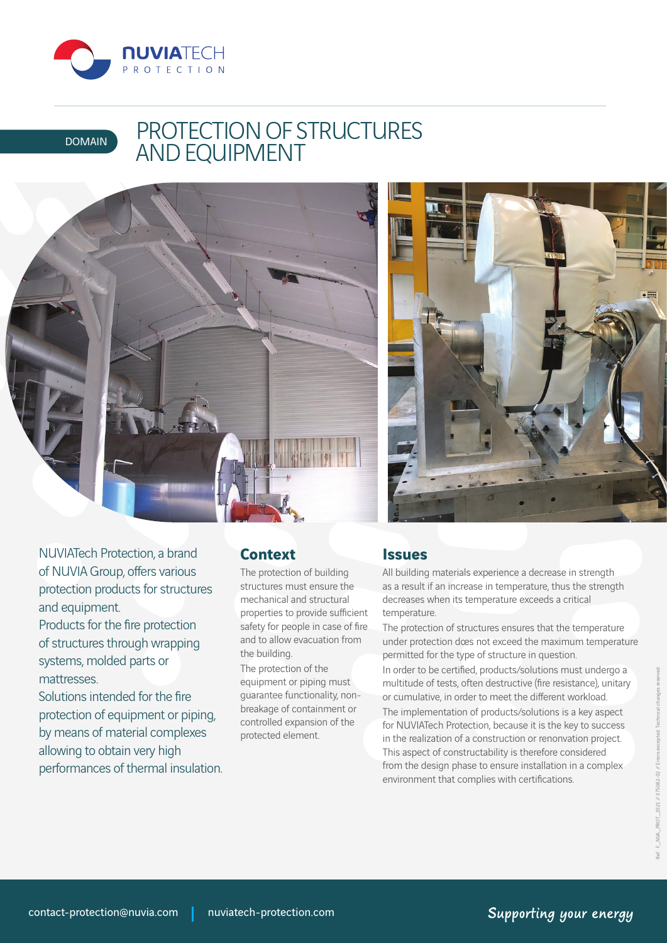

# DOMAIN PROTECTION OF STRUCTURES AND EQUIPMENT





NUVIATech Protection, a brand of NUVIA Group, offers various protection products for structures and equipment. Products for the fire protection of structures through wrapping systems, molded parts or mattresses.

Solutions intended for the fire protection of equipment or piping, by means of material complexes allowing to obtain very high performances of thermal insulation.

#### **Context**

The protection of building structures must ensure the mechanical and structural properties to provide sufficient safety for people in case of fire and to allow evacuation from the building.

The protection of the equipment or piping must guarantee functionality, nonbreakage of containment or controlled expansion of the protected element.

#### **Issues**

All building materials experience a decrease in strength as a result if an increase in temperature, thus the strength decreases when its temperature exceeds a critical temperature.

The protection of structures ensures that the temperature under protection does not exceed the maximum temperature permitted for the type of structure in question.

In order to be certified, products/solutions must undergo a multitude of tests, often destructive (fire resistance), unitary or cumulative, in order to meet the different workload.

The implementation of products/solutions is a key aspect for NUVIATech Protection, because it is the key to success in the realization of a construction or renonvation project. This aspect of constructability is therefore considered from the design phase to ensure installation in a complex environment that complies with certifications.